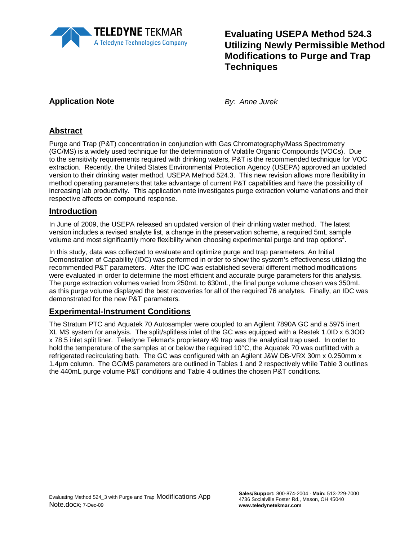

# **Evaluating USEPA Method 524.3 Utilizing Newly Permissible Method Modifications to Purge and Trap Techniques**

## **Application Note** *By: Anne Jurek*

## **Abstract**

Purge and Trap (P&T) concentration in conjunction with Gas Chromatography/Mass Spectrometry (GC/MS) is a widely used technique for the determination of Volatile Organic Compounds (VOCs). Due to the sensitivity requirements required with drinking waters, P&T is the recommended technique for VOC extraction. Recently, the United States Environmental Protection Agency (USEPA) approved an updated version to their drinking water method, USEPA Method 524.3. This new revision allows more flexibility in method operating parameters that take advantage of current P&T capabilities and have the possibility of increasing lab productivity. This application note investigates purge extraction volume variations and their respective affects on compound response.

### **Introduction**

In June of 2009, the USEPA released an updated version of their drinking water method. The latest version includes a revised analyte list, a change in the preservation scheme, a required 5mL sample volume and most significantly more flexibility when choosing experimental purge and trap options<sup>1</sup>.

In this study, data was collected to evaluate and optimize purge and trap parameters. An Initial Demonstration of Capability (IDC) was performed in order to show the system's effectiveness utilizing the recommended P&T parameters. After the IDC was established several different method modifications were evaluated in order to determine the most efficient and accurate purge parameters for this analysis. The purge extraction volumes varied from 250mL to 630mL, the final purge volume chosen was 350mL as this purge volume displayed the best recoveries for all of the required 76 analytes. Finally, an IDC was demonstrated for the new P&T parameters.

### **Experimental-Instrument Conditions**

The Stratum PTC and Aquatek 70 Autosampler were coupled to an Agilent 7890A GC and a 5975 inert XL MS system for analysis. The split/splitless inlet of the GC was equipped with a Restek 1.0ID x 6.3OD x 78.5 inlet split liner. Teledyne Tekmar's proprietary #9 trap was the analytical trap used. In order to hold the temperature of the samples at or below the required 10°C, the Aquatek 70 was outfitted with a refrigerated recirculating bath. The GC was configured with an Agilent J&W DB-VRX 30m x 0.250mm x 1.4µm column. The GC/MS parameters are outlined in Tables 1 and 2 respectively while Table 3 outlines the 440mL purge volume P&T conditions and Table 4 outlines the chosen P&T conditions.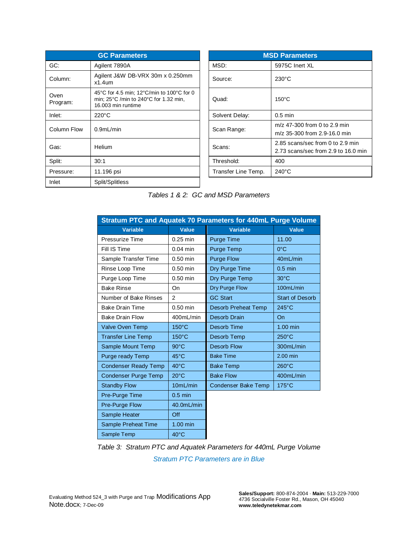|                  | <b>GC Parameters</b>                                                                                                         |                     | <b>MSD Parameters</b>                                                 |
|------------------|------------------------------------------------------------------------------------------------------------------------------|---------------------|-----------------------------------------------------------------------|
| GC:              | Agilent 7890A                                                                                                                | MSD:                | 5975C Inert XL                                                        |
| Column:          | Agilent J&W DB-VRX 30m x 0.250mm<br>$x1.4$ um                                                                                | Source:             | $230^{\circ}$ C                                                       |
| Oven<br>Program: | 45°C for 4.5 min; 12°C/min to 100°C for 0<br>min; $25^{\circ}$ C /min to $240^{\circ}$ C for 1.32 min,<br>16.003 min runtime | Quad:               | $150^{\circ}$ C                                                       |
| Inlet:           | $220^{\circ}$ C                                                                                                              | Solvent Delay:      | $0.5$ min                                                             |
| Column Flow      | 0.9 <sub>m</sub> L/min                                                                                                       | Scan Range:         | m/z 47-300 from 0 to 2.9 min<br>m/z 35-300 from 2.9-16.0 min          |
| Gas:             | Helium                                                                                                                       | Scans:              | 2.85 scans/sec from 0 to 2.9 min<br>2.73 scans/sec from 2.9 to 16.0 i |
| Split:           | 30:1                                                                                                                         | Threshold:          | 400                                                                   |
| Pressure:        | 11.196 psi                                                                                                                   | Transfer Line Temp. | $240^{\circ}$ C                                                       |
| Inlet            | Split/Splitless                                                                                                              |                     |                                                                       |

| <b>GC Parameters</b>                                                                                                                   |                     | <b>MSD Parameters</b>                                                   |
|----------------------------------------------------------------------------------------------------------------------------------------|---------------------|-------------------------------------------------------------------------|
| gilent 7890A                                                                                                                           | MSD:                | 5975C Inert XL                                                          |
| gilent J&W DB-VRX 30m x 0.250mm<br>1.4um                                                                                               | Source:             | $230^{\circ}$ C                                                         |
| $5^{\circ}$ C for 4.5 min; 12 $^{\circ}$ C/min to 100 $^{\circ}$ C for 0<br>iin; 25°C /min to 240°C for 1.32 min,<br>6.003 min runtime | Quad:               | $150^{\circ}$ C                                                         |
| 20°C                                                                                                                                   | Solvent Delay:      | $0.5$ min                                                               |
| .9mL/min                                                                                                                               | Scan Range:         | m/z 47-300 from 0 to 2.9 min<br>m/z 35-300 from 2.9-16.0 min            |
| elium                                                                                                                                  | Scans:              | 2.85 scans/sec from 0 to 2.9 min<br>2.73 scans/sec from 2.9 to 16.0 min |
| 0:1                                                                                                                                    | Threshold:          | 400                                                                     |
| 1.196 psi                                                                                                                              | Transfer Line Temp. | $240^{\circ}$ C                                                         |

| Stratum PTC and Aquatek 70 Parameters for 440mL Purge Volume |                 |                            |                        |  |  |  |  |  |  |
|--------------------------------------------------------------|-----------------|----------------------------|------------------------|--|--|--|--|--|--|
| <b>Variable</b>                                              | <b>Value</b>    | <b>Variable</b>            | <b>Value</b>           |  |  |  |  |  |  |
| Pressurize Time                                              | $0.25$ min      | Purge Time                 | 11.00                  |  |  |  |  |  |  |
| Fill IS Time                                                 | $0.04$ min      | Purge Temp                 | $0^{\circ}$ C          |  |  |  |  |  |  |
| Sample Transfer Time                                         | $0.50$ min      | <b>Purge Flow</b>          | 40mL/min               |  |  |  |  |  |  |
| Rinse Loop Time                                              | $0.50$ min      | Dry Purge Time             | $0.5$ min              |  |  |  |  |  |  |
| Purge Loop Time                                              | $0.50$ min      | Dry Purge Temp             | $30^{\circ}$ C         |  |  |  |  |  |  |
| <b>Bake Rinse</b>                                            | On              | Dry Purge Flow             | 100mL/min              |  |  |  |  |  |  |
| Number of Bake Rinses                                        | $\overline{2}$  | <b>GC Start</b>            | <b>Start of Desorb</b> |  |  |  |  |  |  |
| <b>Bake Drain Time</b>                                       | $0.50$ min      | <b>Desorb Preheat Temp</b> | $245^{\circ}$ C        |  |  |  |  |  |  |
| <b>Bake Drain Flow</b>                                       | 400mL/min       | Desorb Drain               | On                     |  |  |  |  |  |  |
| <b>Valve Oven Temp</b>                                       | $150^{\circ}$ C | Desorb Time                | $1.00$ min             |  |  |  |  |  |  |
| <b>Transfer Line Temp</b>                                    | $150^{\circ}$ C | Desorb Temp                | $250^{\circ}$ C        |  |  |  |  |  |  |
| Sample Mount Temp                                            | $90^{\circ}$ C  | <b>Desorb Flow</b>         | 300mL/min              |  |  |  |  |  |  |
| Purge ready Temp                                             | $45^{\circ}$ C  | <b>Bake Time</b>           | 2.00 min               |  |  |  |  |  |  |
| <b>Condenser Ready Temp</b>                                  | $40^{\circ}$ C  | <b>Bake Temp</b>           | $260^{\circ}$ C        |  |  |  |  |  |  |
| <b>Condenser Purge Temp</b>                                  | $20^{\circ}$ C  | <b>Bake Flow</b>           | 400mL/min              |  |  |  |  |  |  |
| <b>Standby Flow</b>                                          | 10mL/min        | <b>Condenser Bake Temp</b> | $175^{\circ}$ C        |  |  |  |  |  |  |
| Pre-Purge Time                                               | $0.5$ min       |                            |                        |  |  |  |  |  |  |
| Pre-Purge Flow                                               | 40.0mL/min      |                            |                        |  |  |  |  |  |  |
| Sample Heater                                                | Off             |                            |                        |  |  |  |  |  |  |
| Sample Preheat Time                                          | $1.00$ min      |                            |                        |  |  |  |  |  |  |
| Sample Temp                                                  | $40^{\circ}$ C  |                            |                        |  |  |  |  |  |  |

*Table 3: Stratum PTC and Aquatek Parameters for 440mL Purge Volume*

*Stratum PTC Parameters are in Blue*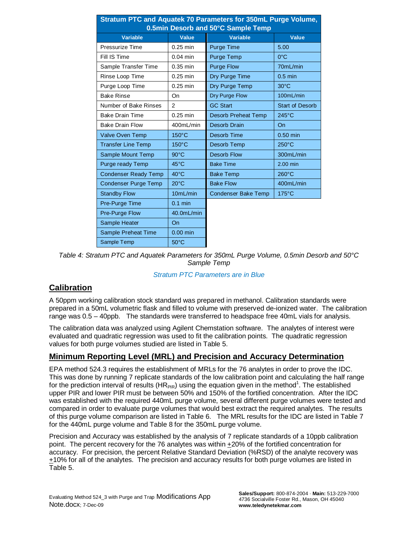| Stratum PTC and Aquatek 70 Parameters for 350mL Purge Volume,<br>0.5min Desorb and 50°C Sample Temp |                 |                            |                        |  |  |  |  |  |  |
|-----------------------------------------------------------------------------------------------------|-----------------|----------------------------|------------------------|--|--|--|--|--|--|
| <b>Variable</b>                                                                                     | Value           | <b>Variable</b>            | Value                  |  |  |  |  |  |  |
| Pressurize Time                                                                                     | $0.25$ min      | <b>Purge Time</b>          | 5.00                   |  |  |  |  |  |  |
| Fill IS Time                                                                                        | $0.04$ min      | Purge Temp                 | $0^{\circ}$ C          |  |  |  |  |  |  |
| Sample Transfer Time                                                                                | $0.35$ min      | <b>Purge Flow</b>          | 70mL/min               |  |  |  |  |  |  |
| Rinse Loop Time                                                                                     | $0.25$ min      | Dry Purge Time             | $0.5$ min              |  |  |  |  |  |  |
| Purge Loop Time                                                                                     | $0.25$ min      | Dry Purge Temp             | $30^{\circ}$ C         |  |  |  |  |  |  |
| <b>Bake Rinse</b>                                                                                   | On              | Dry Purge Flow             | 100mL/min              |  |  |  |  |  |  |
| Number of Bake Rinses                                                                               | $\overline{2}$  | <b>GC Start</b>            | <b>Start of Desorb</b> |  |  |  |  |  |  |
| <b>Bake Drain Time</b>                                                                              | $0.25$ min      | <b>Desorb Preheat Temp</b> | $245^{\circ}$ C        |  |  |  |  |  |  |
| <b>Bake Drain Flow</b>                                                                              | 400mL/min       | Desorb Drain               | On                     |  |  |  |  |  |  |
| Valve Oven Temp                                                                                     | $150^{\circ}$ C | Desorb Time                | $0.50$ min             |  |  |  |  |  |  |
| <b>Transfer Line Temp</b>                                                                           | $150^{\circ}$ C | Desorb Temp                | $250^{\circ}$ C        |  |  |  |  |  |  |
| Sample Mount Temp                                                                                   | $90^{\circ}$ C  | Desorb Flow                | 300mL/min              |  |  |  |  |  |  |
| Purge ready Temp                                                                                    | $45^{\circ}$ C  | <b>Bake Time</b>           | $2.00$ min             |  |  |  |  |  |  |
| <b>Condenser Ready Temp</b>                                                                         | $40^{\circ}$ C  | <b>Bake Temp</b>           | $260^{\circ}$ C        |  |  |  |  |  |  |
| <b>Condenser Purge Temp</b>                                                                         | $20^{\circ}$ C  | <b>Bake Flow</b>           | 400mL/min              |  |  |  |  |  |  |
| <b>Standby Flow</b>                                                                                 | 10mL/min        | <b>Condenser Bake Temp</b> | $175^{\circ}$ C        |  |  |  |  |  |  |
| Pre-Purge Time                                                                                      | $0.1$ min       |                            |                        |  |  |  |  |  |  |
| Pre-Purge Flow                                                                                      | 40.0mL/min      |                            |                        |  |  |  |  |  |  |
| Sample Heater                                                                                       | On              |                            |                        |  |  |  |  |  |  |
| Sample Preheat Time                                                                                 | $0.00$ min      |                            |                        |  |  |  |  |  |  |
| Sample Temp                                                                                         | $50^{\circ}$ C  |                            |                        |  |  |  |  |  |  |

*Table 4: Stratum PTC and Aquatek Parameters for 350mL Purge Volume, 0.5min Desorb and 50°C Sample Temp*

#### *Stratum PTC Parameters are in Blue*

### **Calibration**

A 50ppm working calibration stock standard was prepared in methanol. Calibration standards were prepared in a 50mL volumetric flask and filled to volume with preserved de-ionized water. The calibration range was 0.5 – 40ppb. The standards were transferred to headspace free 40mL vials for analysis.

The calibration data was analyzed using Agilent Chemstation software. The analytes of interest were evaluated and quadratic regression was used to fit the calibration points. The quadratic regression values for both purge volumes studied are listed in Table 5.

#### **Minimum Reporting Level (MRL) and Precision and Accuracy Determination**

EPA method 524.3 requires the establishment of MRLs for the 76 analytes in order to prove the IDC. This was done by running 7 replicate standards of the low calibration point and calculating the half range for the prediction interval of results (HR<sub>PIR</sub>) using the equation given in the method<sup>1</sup>. The established upper PIR and lower PIR must be between 50% and 150% of the fortified concentration. After the IDC was established with the required 440mL purge volume, several different purge volumes were tested and compared in order to evaluate purge volumes that would best extract the required analytes. The results of this purge volume comparison are listed in Table 6. The MRL results for the IDC are listed in Table 7 for the 440mL purge volume and Table 8 for the 350mL purge volume.

Precision and Accuracy was established by the analysis of 7 replicate standards of a 10ppb calibration point. The percent recovery for the 76 analytes was within +20% of the fortified concentration for accuracy. For precision, the percent Relative Standard Deviation (%RSD) of the analyte recovery was +10% for all of the analytes. The precision and accuracy results for both purge volumes are listed in Table 5.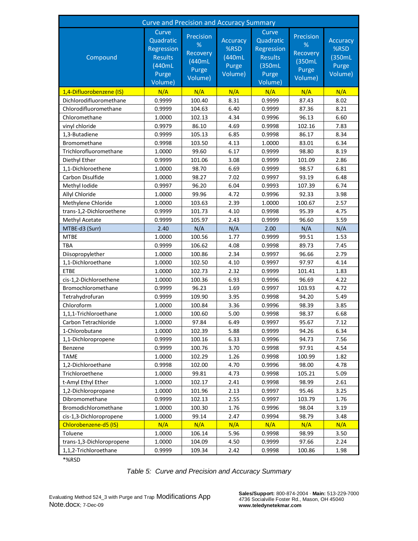| <b>Curve and Precision and Accuracy Summary</b> |                                                                                  |                                                          |                                                       |                                                                                   |                                                          |                                                |  |  |  |
|-------------------------------------------------|----------------------------------------------------------------------------------|----------------------------------------------------------|-------------------------------------------------------|-----------------------------------------------------------------------------------|----------------------------------------------------------|------------------------------------------------|--|--|--|
| Compound                                        | Curve<br>Quadratic<br>Regression<br><b>Results</b><br>(440mL<br>Purge<br>Volume) | Precision<br>%<br>Recovery<br>(440mL<br>Purge<br>Volume) | <b>Accuracy</b><br>%RSD<br>(440mL<br>Purge<br>Volume) | Curve<br>Quadratic<br>Regression<br><b>Results</b><br>(350mL)<br>Purge<br>Volume) | Precision<br>%<br>Recovery<br>(350mL<br>Purge<br>Volume) | Accuracy<br>%RSD<br>(350mL<br>Purge<br>Volume) |  |  |  |
| 1,4-Difluorobenzene (IS)                        | N/A                                                                              | N/A                                                      | N/A                                                   | N/A                                                                               | N/A                                                      | N/A                                            |  |  |  |
| Dichlorodifluoromethane                         | 0.9999                                                                           | 100.40                                                   | 8.31                                                  | 0.9999                                                                            | 87.43                                                    | 8.02                                           |  |  |  |
| Chlorodifluoromethane                           | 0.9999                                                                           | 104.63                                                   | 6.40                                                  | 0.9999                                                                            | 87.36                                                    | 8.21                                           |  |  |  |
| Chloromethane                                   | 1.0000                                                                           | 102.13                                                   | 4.34                                                  | 0.9996                                                                            | 96.13                                                    | 6.60                                           |  |  |  |
| vinyl chloride                                  | 0.9979                                                                           | 86.10                                                    | 4.69                                                  | 0.9998                                                                            | 102.16                                                   | 7.83                                           |  |  |  |
| 1,3-Butadiene                                   | 0.9999                                                                           | 105.13                                                   | 6.85                                                  | 0.9998                                                                            | 86.17                                                    | 8.34                                           |  |  |  |
| <b>Bromomethane</b>                             | 0.9998                                                                           | 103.50                                                   | 4.13                                                  | 1.0000                                                                            | 83.01                                                    | 6.34                                           |  |  |  |
| Trichlorofluoromethane                          | 1.0000                                                                           | 99.60                                                    | 6.17                                                  | 0.9999                                                                            | 98.80                                                    | 8.19                                           |  |  |  |
| Diethyl Ether                                   | 0.9999                                                                           | 101.06                                                   | 3.08                                                  | 0.9999                                                                            | 101.09                                                   | 2.86                                           |  |  |  |
| 1,1-Dichloroethene                              | 1.0000                                                                           | 98.70                                                    | 6.69                                                  | 0.9999                                                                            | 98.57                                                    | 6.81                                           |  |  |  |
| Carbon Disulfide                                | 1.0000                                                                           | 98.27                                                    | 7.02                                                  | 0.9997                                                                            | 93.19                                                    | 6.48                                           |  |  |  |
| Methyl Iodide                                   | 0.9997                                                                           | 96.20                                                    | 6.04                                                  | 0.9993                                                                            | 107.39                                                   | 6.74                                           |  |  |  |
| Allyl Chloride                                  | 1.0000                                                                           | 99.96                                                    | 4.72                                                  | 0.9996                                                                            | 92.33                                                    | 3.98                                           |  |  |  |
| Methylene Chloride                              | 1.0000                                                                           | 103.63                                                   | 2.39                                                  | 1.0000                                                                            | 100.67                                                   | 2.57                                           |  |  |  |
| trans-1,2-Dichloroethene                        | 0.9999                                                                           | 101.73                                                   | 4.10                                                  | 0.9998                                                                            | 95.39                                                    | 4.75                                           |  |  |  |
| Methyl Acetate                                  | 0.9999                                                                           | 105.97                                                   | 2.43                                                  | 0.9999                                                                            | 96.60                                                    | 3.59                                           |  |  |  |
| MTBE-d3 (Surr)                                  | 2.40                                                                             | N/A                                                      | N/A                                                   | 2.00                                                                              | N/A                                                      | N/A                                            |  |  |  |
| <b>MTBE</b>                                     | 1.0000                                                                           | 100.56                                                   | 1.77                                                  | 0.9999                                                                            | 99.51                                                    | 1.53                                           |  |  |  |
| <b>TBA</b>                                      | 0.9999                                                                           | 106.62                                                   | 4.08                                                  | 0.9998                                                                            | 89.73                                                    | 7.45                                           |  |  |  |
| Diisopropylether                                | 1.0000                                                                           | 100.86                                                   | 2.34                                                  | 0.9997                                                                            | 96.66                                                    | 2.79                                           |  |  |  |
| 1,1-Dichloroethane                              | 1.0000                                                                           | 102.50                                                   | 4.10                                                  | 0.9997                                                                            | 97.97                                                    | 4.14                                           |  |  |  |
| <b>ETBE</b>                                     | 1.0000                                                                           | 102.73                                                   | 2.32                                                  | 0.9999                                                                            | 101.41                                                   | 1.83                                           |  |  |  |
| cis-1,2-Dichloroethene                          | 1.0000                                                                           | 100.36                                                   | 6.93                                                  | 0.9996                                                                            | 96.69                                                    | 4.22                                           |  |  |  |
| Bromochloromethane                              | 0.9999                                                                           | 96.23                                                    | 1.69                                                  | 0.9997                                                                            | 103.93                                                   | 4.72                                           |  |  |  |
| Tetrahydrofuran                                 | 0.9999                                                                           | 109.90                                                   | 3.95                                                  | 0.9998                                                                            | 94.20                                                    | 5.49                                           |  |  |  |
| Chloroform                                      | 1.0000                                                                           | 100.84                                                   | 3.36                                                  | 0.9996                                                                            | 98.39                                                    | 3.85                                           |  |  |  |
| 1,1,1-Trichloroethane                           | 1.0000                                                                           | 100.60                                                   | 5.00                                                  | 0.9998                                                                            | 98.37                                                    | 6.68                                           |  |  |  |
| Carbon Tetrachloride                            | 1.0000                                                                           | 97.84                                                    | 6.49                                                  | 0.9997                                                                            | 95.67                                                    | 7.12                                           |  |  |  |
| 1-Chlorobutane                                  | 1.0000                                                                           | 102.39                                                   | 5.88                                                  | 0.9999                                                                            | 94.26                                                    | 6.34                                           |  |  |  |
| 1,1-Dichloropropene                             | 0.9999                                                                           | 100.16                                                   | 6.33                                                  | 0.9996                                                                            | 94.73                                                    | 7.56                                           |  |  |  |
| Benzene                                         | 0.9999                                                                           | 100.76                                                   | 3.70                                                  | 0.9998                                                                            | 97.91                                                    | 4.54                                           |  |  |  |
| <b>TAME</b>                                     | 1.0000                                                                           | 102.29                                                   | 1.26                                                  | 0.9998                                                                            | 100.99                                                   | 1.82                                           |  |  |  |
| 1,2-Dichloroethane                              | 0.9998                                                                           | 102.00                                                   | 4.70                                                  | 0.9996                                                                            | 98.00                                                    | 4.78                                           |  |  |  |
| Trichloroethene                                 | 1.0000                                                                           | 99.81                                                    | 4.73                                                  | 0.9998                                                                            | 105.21                                                   | 5.09                                           |  |  |  |
| t-Amyl Ethyl Ether                              | 1.0000                                                                           | 102.17                                                   | 2.41                                                  | 0.9998                                                                            | 98.99                                                    | 2.61                                           |  |  |  |
| 1,2-Dichloropropane                             | 1.0000                                                                           | 101.96                                                   | 2.13                                                  | 0.9997                                                                            | 95.46                                                    | 3.25                                           |  |  |  |
| Dibromomethane                                  | 0.9999                                                                           | 102.13                                                   | 2.55                                                  | 0.9997                                                                            | 103.79                                                   | 1.76                                           |  |  |  |
| Bromodichloromethane                            | 1.0000                                                                           | 100.30                                                   | 1.76                                                  | 0.9996                                                                            | 98.04                                                    | 3.19                                           |  |  |  |
| cis-1,3-Dichloropropene                         | 1.0000                                                                           | 99.14                                                    | 2.47                                                  | 0.9994                                                                            | 98.79                                                    | 3.48                                           |  |  |  |
| Chlorobenzene-d5 (IS)                           | N/A                                                                              | N/A                                                      | N/A                                                   | N/A                                                                               | N/A                                                      | N/A                                            |  |  |  |
| Toluene                                         | 1.0000                                                                           | 106.14                                                   | 5.96                                                  | 0.9998                                                                            | 98.99                                                    | 3.50                                           |  |  |  |
| trans-1,3-Dichloropropene                       | 1.0000                                                                           | 104.09                                                   | 4.50                                                  | 0.9999                                                                            | 97.66                                                    | 2.24                                           |  |  |  |
| 1,1,2-Trichloroethane                           | 0.9999                                                                           | 109.34                                                   | 2.42                                                  | 0.9998                                                                            | 100.86                                                   | 1.98                                           |  |  |  |

\*%RSD

*Table 5: Curve and Precision and Accuracy Summary*

**Sales/Support:** 800-874-2004 · **Main:** 513-229-7000 4736 Socialville Foster Rd., Mason, OH 45040 **www.teledynetekmar.com**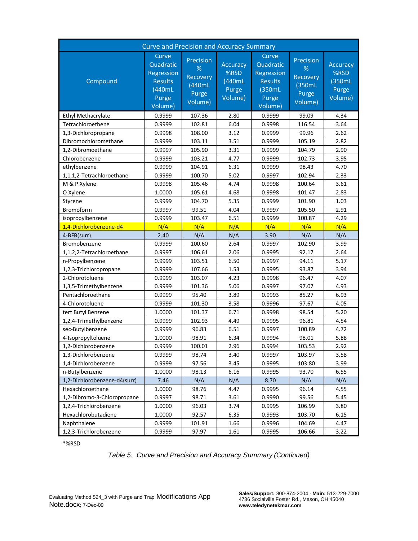| <b>Curve and Precision and Accuracy Summary</b> |                                                                                  |                                                          |                                                |                                                                                   |                                                          |                                                 |  |  |  |
|-------------------------------------------------|----------------------------------------------------------------------------------|----------------------------------------------------------|------------------------------------------------|-----------------------------------------------------------------------------------|----------------------------------------------------------|-------------------------------------------------|--|--|--|
| Compound                                        | Curve<br>Quadratic<br>Regression<br><b>Results</b><br>(440mL<br>Purge<br>Volume) | Precision<br>%<br>Recovery<br>(440mL<br>Purge<br>Volume) | Accuracy<br>%RSD<br>(440mL<br>Purge<br>Volume) | Curve<br>Quadratic<br>Regression<br><b>Results</b><br>(350mL)<br>Purge<br>Volume) | Precision<br>%<br>Recovery<br>(350mL<br>Purge<br>Volume) | Accuracy<br>%RSD<br>(350mL)<br>Purge<br>Volume) |  |  |  |
| Ethyl Methacrylate                              | 0.9999                                                                           | 107.36                                                   | 2.80                                           | 0.9999                                                                            | 99.09                                                    | 4.34                                            |  |  |  |
| Tetrachloroethene                               | 0.9999                                                                           | 102.81                                                   | 6.04                                           | 0.9998                                                                            | 116.54                                                   | 3.64                                            |  |  |  |
| 1,3-Dichloropropane                             | 0.9998                                                                           | 108.00                                                   | 3.12                                           | 0.9999                                                                            | 99.96                                                    | 2.62                                            |  |  |  |
| Dibromochloromethane                            | 0.9999                                                                           | 103.11                                                   | 3.51                                           | 0.9999                                                                            | 105.19                                                   | 2.82                                            |  |  |  |
| 1,2-Dibromoethane                               | 0.9997                                                                           | 105.90                                                   | 3.31                                           | 0.9999                                                                            | 104.79                                                   | 2.90                                            |  |  |  |
| Chlorobenzene                                   | 0.9999                                                                           | 103.21                                                   | 4.77                                           | 0.9999                                                                            | 102.73                                                   | 3.95                                            |  |  |  |
| ethylbenzene                                    | 0.9999                                                                           | 104.91                                                   | 6.31                                           | 0.9999                                                                            | 98.43                                                    | 4.70                                            |  |  |  |
| 1,1,1,2-Tetrachloroethane                       | 0.9999                                                                           | 100.70                                                   | 5.02                                           | 0.9997                                                                            | 102.94                                                   | 2.33                                            |  |  |  |
| M & P Xylene                                    | 0.9998                                                                           | 105.46                                                   | 4.74                                           | 0.9998                                                                            | 100.64                                                   | 3.61                                            |  |  |  |
| O Xylene                                        | 1.0000                                                                           | 105.61                                                   | 4.68                                           | 0.9998                                                                            | 101.47                                                   | 2.83                                            |  |  |  |
| Styrene                                         | 0.9999                                                                           | 104.70                                                   | 5.35                                           | 0.9999                                                                            | 101.90                                                   | 1.03                                            |  |  |  |
| <b>Bromoform</b>                                | 0.9997                                                                           | 99.51                                                    | 4.04                                           | 0.9997                                                                            | 105.50                                                   | 2.91                                            |  |  |  |
| isopropylbenzene                                | 0.9999                                                                           | 103.47                                                   | 6.51                                           | 0.9999                                                                            | 100.87                                                   | 4.29                                            |  |  |  |
| 1,4-Dichlorobenzene-d4                          | N/A                                                                              | N/A                                                      | N/A                                            | N/A                                                                               | N/A                                                      | N/A                                             |  |  |  |
| 4-BFB(surr)                                     | 2.40                                                                             | N/A                                                      | N/A                                            | 3.90                                                                              | N/A                                                      | N/A                                             |  |  |  |
| Bromobenzene                                    | 0.9999                                                                           | 100.60                                                   | 2.64                                           | 0.9997                                                                            | 102.90                                                   | 3.99                                            |  |  |  |
| 1,1,2,2-Tetrachloroethane                       | 0.9997                                                                           | 106.61                                                   | 2.06                                           | 0.9995                                                                            | 92.17                                                    | 2.64                                            |  |  |  |
| n-Propylbenzene                                 | 0.9999                                                                           | 103.51                                                   | 6.50                                           | 0.9997                                                                            | 94.11                                                    | 5.17                                            |  |  |  |
| 1,2,3-Trichloropropane                          | 0.9999                                                                           | 107.66                                                   | 1.53                                           | 0.9995                                                                            | 93.87                                                    | 3.94                                            |  |  |  |
| 2-Chlorotoluene                                 | 0.9999                                                                           | 103.07                                                   | 4.23                                           | 0.9998                                                                            | 96.47                                                    | 4.07                                            |  |  |  |
| 1,3,5-Trimethylbenzene                          | 0.9999                                                                           | 101.36                                                   | 5.06                                           | 0.9997                                                                            | 97.07                                                    | 4.93                                            |  |  |  |
| Pentachloroethane                               | 0.9999                                                                           | 95.40                                                    | 3.89                                           | 0.9993                                                                            | 85.27                                                    | 6.93                                            |  |  |  |
| 4-Chlorotoluene                                 | 0.9999                                                                           | 101.30                                                   | 3.58                                           | 0.9996                                                                            | 97.67                                                    | 4.05                                            |  |  |  |
| tert Butyl Benzene                              | 1.0000                                                                           | 101.37                                                   | 6.71                                           | 0.9998                                                                            | 98.54                                                    | 5.20                                            |  |  |  |
| 1,2,4-Trimethylbenzene                          | 0.9999                                                                           | 102.93                                                   | 4.49                                           | 0.9995                                                                            | 96.81                                                    | 4.54                                            |  |  |  |
| sec-Butylbenzene                                | 0.9999                                                                           | 96.83                                                    | 6.51                                           | 0.9997                                                                            | 100.89                                                   | 4.72                                            |  |  |  |
| 4-Isopropyltoluene                              | 1.0000                                                                           | 98.91                                                    | 6.34                                           | 0.9994                                                                            | 98.01                                                    | 5.88                                            |  |  |  |
| 1,2-Dichlorobenzene                             | 0.9999                                                                           | 100.01                                                   | 2.96                                           | 0.9994                                                                            | 103.53                                                   | 2.92                                            |  |  |  |
| 1,3-Dichlorobenzene                             | 0.9999                                                                           | 98.74                                                    | 3.40                                           | 0.9997                                                                            | 103.97                                                   | 3.58                                            |  |  |  |
| 1.4-Dichlorobenzene                             | 0.9999                                                                           | 97.56                                                    | 3.45                                           | 0.9995                                                                            | 103.80                                                   | 3.99                                            |  |  |  |
| n-Butylbenzene                                  | 1.0000                                                                           | 98.13                                                    | 6.16                                           | 0.9995                                                                            | 93.70                                                    | 6.55                                            |  |  |  |
| 1,2-Dichlorobenzene-d4(surr)                    | 7.46                                                                             | N/A                                                      | N/A                                            | 8.70                                                                              | N/A                                                      | N/A                                             |  |  |  |
| Hexachloroethane                                | 1.0000                                                                           | 98.76                                                    | 4.47                                           | 0.9995                                                                            | 96.14                                                    | 4.55                                            |  |  |  |
| 1,2-Dibromo-3-Chloropropane                     | 0.9997                                                                           | 98.71                                                    | 3.61                                           | 0.9990                                                                            | 99.56                                                    | 5.45                                            |  |  |  |
| 1,2,4-Trichlorobenzene                          | 1.0000                                                                           | 96.03                                                    | 3.74                                           | 0.9995                                                                            | 106.99                                                   | 3.80                                            |  |  |  |
| Hexachlorobutadiene                             | 1.0000                                                                           | 92.57                                                    | 6.35                                           | 0.9993                                                                            | 103.70                                                   | 6.15                                            |  |  |  |
| Naphthalene                                     | 0.9999                                                                           | 101.91                                                   | 1.66                                           | 0.9996                                                                            | 104.69                                                   | 4.47                                            |  |  |  |
| 1,2,3-Trichlorobenzene                          | 0.9999                                                                           | 97.97                                                    | 1.61                                           | 0.9995                                                                            | 106.66                                                   | 3.22                                            |  |  |  |

\*%RSD

*Table 5: Curve and Precision and Accuracy Summary (Continued)*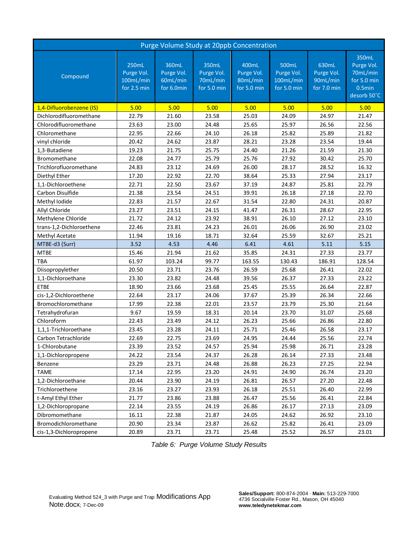| Purge Volume Study at 20ppb Concentration |                                                 |                                               |                                                |                                                |                                                 |                                                |                                                                         |  |  |  |
|-------------------------------------------|-------------------------------------------------|-----------------------------------------------|------------------------------------------------|------------------------------------------------|-------------------------------------------------|------------------------------------------------|-------------------------------------------------------------------------|--|--|--|
| Compound                                  | 250mL<br>Purge Vol.<br>100mL/min<br>for 2.5 min | 360mL<br>Purge Vol.<br>60mL/min<br>for 6.0min | 350mL<br>Purge Vol.<br>70mL/min<br>for 5.0 min | 400mL<br>Purge Vol.<br>80mL/min<br>for 5.0 min | 500mL<br>Purge Vol.<br>100mL/min<br>for 5.0 min | 630mL<br>Purge Vol.<br>90mL/min<br>for 7.0 min | 350mL<br>Purge Vol.<br>70mL/min<br>for 5.0 min<br>0.5min<br>desorb 50°C |  |  |  |
| 1,4-Difluorobenzene (IS)                  | 5.00                                            | 5.00                                          | 5.00                                           | 5.00                                           | 5.00                                            | 5.00                                           | 5.00                                                                    |  |  |  |
| Dichlorodifluoromethane                   | 22.79                                           | 21.60                                         | 23.58                                          | 25.03                                          | 24.09                                           | 24.97                                          | 21.47                                                                   |  |  |  |
| Chlorodifluoromethane                     | 23.63                                           | 23.00                                         | 24.48                                          | 25.65                                          | 25.97                                           | 26.56                                          | 22.56                                                                   |  |  |  |
| Chloromethane                             | 22.95                                           | 22.66                                         | 24.10                                          | 26.18                                          | 25.82                                           | 25.89                                          | 21.82                                                                   |  |  |  |
| vinyl chloride                            | 20.42                                           | 24.62                                         | 23.87                                          | 28.21                                          | 23.28                                           | 23.54                                          | 19.44                                                                   |  |  |  |
| 1,3-Butadiene                             | 19.23                                           | 21.75                                         | 25.75                                          | 24.40                                          | 21.26                                           | 21.59                                          | 21.30                                                                   |  |  |  |
| <b>Bromomethane</b>                       | 22.08                                           | 24.77                                         | 25.79                                          | 25.76                                          | 27.92                                           | 30.42                                          | 25.70                                                                   |  |  |  |
| Trichlorofluoromethane                    | 24.83                                           | 23.12                                         | 24.69                                          | 26.00                                          | 28.17                                           | 28.52                                          | 16.32                                                                   |  |  |  |
| Diethyl Ether                             | 17.20                                           | 22.92                                         | 22.70                                          | 38.64                                          | 25.33                                           | 27.94                                          | 23.17                                                                   |  |  |  |
| 1.1-Dichloroethene                        | 22.71                                           | 22.50                                         | 23.67                                          | 37.19                                          | 24.87                                           | 25.81                                          | 22.79                                                                   |  |  |  |
| Carbon Disulfide                          | 21.38                                           | 23.54                                         | 24.51                                          | 39.91                                          | 26.18                                           | 27.18                                          | 22.70                                                                   |  |  |  |
| Methyl Iodide                             | 22.83                                           | 21.57                                         | 22.67                                          | 31.54                                          | 22.80                                           | 24.31                                          | 20.87                                                                   |  |  |  |
| Allyl Chloride                            | 23.27                                           | 23.51                                         | 24.15                                          | 41.47                                          | 26.31                                           | 28.67                                          | 22.95                                                                   |  |  |  |
| Methylene Chloride                        | 21.72                                           | 24.12                                         | 23.92                                          | 38.91                                          | 26.10                                           | 27.12                                          | 23.10                                                                   |  |  |  |
| trans-1,2-Dichloroethene                  | 22.46                                           | 23.81                                         | 24.23                                          | 26.01                                          | 26.06                                           | 26.90                                          | 23.02                                                                   |  |  |  |
| Methyl Acetate                            | 11.94                                           | 19.16                                         | 18.71                                          | 32.64                                          | 25.59                                           | 32.67                                          | 25.21                                                                   |  |  |  |
| MTBE-d3 (Surr)                            | 3.52                                            | 4.53                                          | 4.46                                           | 6.41                                           | 4.61                                            | 5.11                                           | 5.15                                                                    |  |  |  |
| <b>MTBE</b>                               | 15.46                                           | 21.94                                         | 21.62                                          | 35.85                                          | 24.31                                           | 27.33                                          | 23.77                                                                   |  |  |  |
| <b>TBA</b>                                | 61.97                                           | 103.24                                        | 99.77                                          | 163.55                                         | 130.43                                          | 186.91                                         | 128.54                                                                  |  |  |  |
| Diisopropylether                          | 20.50                                           | 23.71                                         | 23.76                                          | 26.59                                          | 25.68                                           | 26.41                                          | 22.02                                                                   |  |  |  |
| 1,1-Dichloroethane                        | 23.30                                           | 23.82                                         | 24.48                                          | 39.56                                          | 26.37                                           | 27.33                                          | 23.22                                                                   |  |  |  |
| <b>ETBE</b>                               | 18.90                                           | 23.66                                         | 23.68                                          | 25.45                                          | 25.55                                           | 26.64                                          | 22.87                                                                   |  |  |  |
| cis-1,2-Dichloroethene                    | 22.64                                           | 23.17                                         | 24.06                                          | 37.67                                          | 25.39                                           | 26.34                                          | 22.66                                                                   |  |  |  |
| Bromochloromethane                        | 17.99                                           | 22.38                                         | 22.01                                          | 23.57                                          | 23.79                                           | 25.30                                          | 21.64                                                                   |  |  |  |
| Tetrahydrofuran                           | 9.67                                            | 19.59                                         | 18.31                                          | 20.14                                          | 23.70                                           | 31.07                                          | 25.68                                                                   |  |  |  |
| Chloroform                                | 22.43                                           | 23.49                                         | 24.12                                          | 26.23                                          | 25.66                                           | 26.86                                          | 22.80                                                                   |  |  |  |
| 1,1,1-Trichloroethane                     | 23.45                                           | 23.28                                         | 24.11                                          | 25.71                                          | 25.46                                           | 26.58                                          | 23.17                                                                   |  |  |  |
| Carbon Tetrachloride                      | 22.69                                           | 22.75                                         | 23.69                                          | 24.95                                          | 24.44                                           | 25.56                                          | 22.74                                                                   |  |  |  |
| 1-Chlorobutane                            | 23.39                                           | 23.52                                         | 24.57                                          | 25.94                                          | 25.98                                           | 26.71                                          | 23.28                                                                   |  |  |  |
| 1,1-Dichloropropene                       | 24.22                                           | 23.54                                         | 24.37                                          | 26.28                                          | 26.14                                           | 27.33                                          | 23.48                                                                   |  |  |  |
| Benzene                                   | 23.29                                           | 23.71                                         | 24.48                                          | 26.88                                          | 26.23                                           | 27.25                                          | 22.94                                                                   |  |  |  |
| <b>TAME</b>                               | 17.14                                           | 22.95                                         | 23.20                                          | 24.91                                          | 24.90                                           | 26.74                                          | 23.20                                                                   |  |  |  |
| 1.2-Dichloroethane                        | 20.44                                           | 23.90                                         | 24.19                                          | 26.81                                          | 26.57                                           | 27.20                                          | 22.48                                                                   |  |  |  |
| Trichloroethene                           | 23.16                                           | 23.27                                         | 23.93                                          | 26.18                                          | 25.51                                           | 26.40                                          | 22.99                                                                   |  |  |  |
| t-Amyl Ethyl Ether                        | 21.77                                           | 23.86                                         | 23.88                                          | 26.47                                          | 25.56                                           | 26.41                                          | 22.84                                                                   |  |  |  |
| 1,2-Dichloropropane                       | 22.14                                           | 23.55                                         | 24.19                                          | 26.86                                          | 26.17                                           | 27.13                                          | 23.09                                                                   |  |  |  |
| Dibromomethane                            | 16.11                                           | 22.38                                         | 21.87                                          | 24.05                                          | 24.62                                           | 26.92                                          | 23.10                                                                   |  |  |  |
| Bromodichloromethane                      | 20.90                                           | 23.34                                         | 23.87                                          | 26.62                                          | 25.82                                           | 26.41                                          | 23.09                                                                   |  |  |  |
| cis-1,3-Dichloropropene                   | 20.89                                           | 23.71                                         | 23.71                                          | 25.48                                          | 25.52                                           | 26.57                                          | 23.01                                                                   |  |  |  |

*Table 6: Purge Volume Study Results*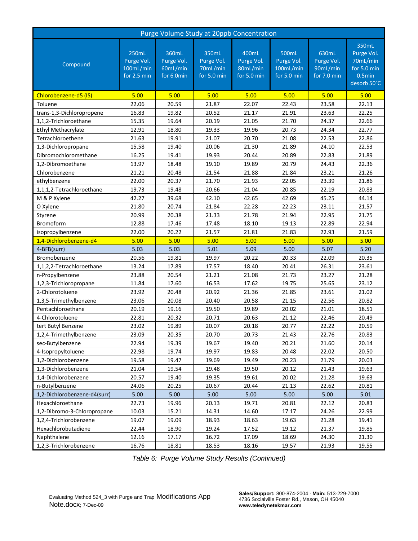| Purge Volume Study at 20ppb Concentration |                                                 |                                               |                                                |                                                |                                                 |                                                |                                                                         |  |  |  |
|-------------------------------------------|-------------------------------------------------|-----------------------------------------------|------------------------------------------------|------------------------------------------------|-------------------------------------------------|------------------------------------------------|-------------------------------------------------------------------------|--|--|--|
| Compound                                  | 250mL<br>Purge Vol.<br>100mL/min<br>for 2.5 min | 360mL<br>Purge Vol.<br>60mL/min<br>for 6.0min | 350mL<br>Purge Vol.<br>70mL/min<br>for 5.0 min | 400mL<br>Purge Vol.<br>80mL/min<br>for 5.0 min | 500mL<br>Purge Vol.<br>100mL/min<br>for 5.0 min | 630mL<br>Purge Vol.<br>90mL/min<br>for 7.0 min | 350mL<br>Purge Vol.<br>70mL/min<br>for 5.0 min<br>0.5min<br>desorb 50°C |  |  |  |
| Chlorobenzene-d5 (IS)                     | 5.00                                            | 5.00                                          | 5.00                                           | 5.00                                           | 5.00                                            | 5.00                                           | 5.00                                                                    |  |  |  |
| Toluene                                   | 22.06                                           | 20.59                                         | 21.87                                          | 22.07                                          | 22.43                                           | 23.58                                          | 22.13                                                                   |  |  |  |
| trans-1,3-Dichloropropene                 | 16.83                                           | 19.82                                         | 20.52                                          | 21.17                                          | 21.91                                           | 23.63                                          | 22.25                                                                   |  |  |  |
| 1,1,2-Trichloroethane                     | 15.35                                           | 19.64                                         | 20.19                                          | 21.05                                          | 21.70                                           | 24.37                                          | 22.66                                                                   |  |  |  |
| Ethyl Methacrylate                        | 12.91                                           | 18.80                                         | 19.33                                          | 19.96                                          | 20.73                                           | 24.34                                          | 22.77                                                                   |  |  |  |
| Tetrachloroethene                         | 21.63                                           | 19.91                                         | 21.07                                          | 20.70                                          | 21.08                                           | 22.53                                          | 22.86                                                                   |  |  |  |
| 1,3-Dichloropropane                       | 15.58                                           | 19.40                                         | 20.06                                          | 21.30                                          | 21.89                                           | 24.10                                          | 22.53                                                                   |  |  |  |
| Dibromochloromethane                      | 16.25                                           | 19.41                                         | 19.93                                          | 20.44                                          | 20.89                                           | 22.83                                          | 21.89                                                                   |  |  |  |
| 1,2-Dibromoethane                         | 13.97                                           | 18.48                                         | 19.10                                          | 19.89                                          | 20.79                                           | 24.43                                          | 22.36                                                                   |  |  |  |
| Chlorobenzene                             | 21.21                                           | 20.48                                         | 21.54                                          | 21.88                                          | 21.84                                           | 23.21                                          | 21.26                                                                   |  |  |  |
| ethylbenzene                              | 22.00                                           | 20.37                                         | 21.70                                          | 21.93                                          | 22.05                                           | 23.39                                          | 21.86                                                                   |  |  |  |
| 1,1,1,2-Tetrachloroethane                 | 19.73                                           | 19.48                                         | 20.66                                          | 21.04                                          | 20.85                                           | 22.19                                          | 20.83                                                                   |  |  |  |
| M & P Xylene                              | 42.27                                           | 39.68                                         | 42.10                                          | 42.65                                          | 42.69                                           | 45.25                                          | 44.14                                                                   |  |  |  |
| O Xylene                                  | 21.80                                           | 20.74                                         | 21.84                                          | 22.28                                          | 22.23                                           | 23.11                                          | 21.57                                                                   |  |  |  |
| Styrene                                   | 20.99                                           | 20.38                                         | 21.33                                          | 21.78                                          | 21.94                                           | 22.95                                          | 21.75                                                                   |  |  |  |
| Bromoform                                 | 12.88                                           | 17.46                                         | 17.48                                          | 18.10                                          | 19.13                                           | 22.89                                          | 22.94                                                                   |  |  |  |
| isopropylbenzene                          | 22.00                                           | 20.22                                         | 21.57                                          | 21.81                                          | 21.83                                           | 22.93                                          | 21.59                                                                   |  |  |  |
| 1,4-Dichlorobenzene-d4                    | 5.00                                            | 5.00                                          | 5.00                                           | 5.00                                           | 5.00                                            | 5.00                                           | 5.00                                                                    |  |  |  |
| 4-BFB(surr)                               | 5.03                                            | 5.03                                          | 5.01                                           | 5.09                                           | 5.00                                            | 5.07                                           | 5.20                                                                    |  |  |  |
| Bromobenzene                              | 20.56                                           | 19.81                                         | 19.97                                          | 20.22                                          | 20.33                                           | 22.09                                          | 20.35                                                                   |  |  |  |
| 1,1,2,2-Tetrachloroethane                 | 13.24                                           | 17.89                                         | 17.57                                          | 18.40                                          | 20.41                                           | 26.31                                          | 23.61                                                                   |  |  |  |
| n-Propylbenzene                           | 23.88                                           | 20.54                                         | 21.21                                          | 21.08                                          | 21.73                                           | 23.27                                          | 21.28                                                                   |  |  |  |
| 1,2,3-Trichloropropane                    | 11.84                                           | 17.60                                         | 16.53                                          | 17.62                                          | 19.75                                           | 25.65                                          | 23.12                                                                   |  |  |  |
| 2-Chlorotoluene                           | 23.92                                           | 20.48                                         | 20.92                                          | 21.36                                          | 21.85                                           | 23.61                                          | 21.02                                                                   |  |  |  |
| 1,3,5-Trimethylbenzene                    | 23.06                                           | 20.08                                         | 20.40                                          | 20.58                                          | 21.15                                           | 22.56                                          | 20.82                                                                   |  |  |  |
| Pentachloroethane                         | 20.19                                           | 19.16                                         | 19.50                                          | 19.89                                          | 20.02                                           | 21.01                                          | 18.51                                                                   |  |  |  |
| 4-Chlorotoluene                           | 22.81                                           | 20.32                                         | 20.71                                          | 20.63                                          | 21.12                                           | 22.46                                          | 20.49                                                                   |  |  |  |
| tert Butyl Benzene                        | 23.02                                           | 19.89                                         | 20.07                                          | 20.18                                          | 20.77                                           | 22.22                                          | 20.59                                                                   |  |  |  |
| 1,2,4-Trimethylbenzene                    | 23.09                                           | 20.35                                         | 20.70                                          | 20.73                                          | 21.43                                           | 22.76                                          | 20.83                                                                   |  |  |  |
| sec-Butylbenzene                          | 22.94                                           | 19.39                                         | 19.67                                          | 19.40                                          | 20.21                                           | 21.60                                          | 20.14                                                                   |  |  |  |
| 4-Isopropyltoluene                        | 22.98                                           | 19.74                                         | 19.97                                          | 19.83                                          | 20.48                                           | 22.02                                          | 20.50                                                                   |  |  |  |
| 1,2-Dichlorobenzene                       | 19.58                                           | 19.47                                         | 19.69                                          | 19.49                                          | 20.23                                           | 21.79                                          | 20.03                                                                   |  |  |  |
| 1,3-Dichlorobenzene                       | 21.04                                           | 19.54                                         | 19.48                                          | 19.50                                          | 20.12                                           | 21.43                                          | 19.63                                                                   |  |  |  |
| 1,4-Dichlorobenzene                       | 20.57                                           | 19.40                                         | 19.35                                          | 19.61                                          | 20.02                                           | 21.28                                          | 19.63                                                                   |  |  |  |
| n-Butylbenzene                            | 24.06                                           | 20.25                                         | 20.67                                          | 20.44                                          | 21.13                                           | 22.62                                          | 20.81                                                                   |  |  |  |
| 1,2-Dichlorobenzene-d4(surr)              | 5.00                                            | 5.00                                          | 5.00                                           | 5.00                                           | 5.00                                            | 5.00                                           | 5.01                                                                    |  |  |  |
| Hexachloroethane                          | 22.73                                           | 19.96                                         | 20.13                                          | 19.71                                          | 20.81                                           | 22.12                                          | 20.83                                                                   |  |  |  |
| 1,2-Dibromo-3-Chloropropane               | 10.03                                           | 15.21                                         | 14.31                                          | 14.60                                          | 17.17                                           | 24.26                                          | 22.99                                                                   |  |  |  |
| 1,2,4-Trichlorobenzene                    | 19.07                                           | 19.09                                         | 18.93                                          | 18.63                                          | 19.63                                           | 21.28                                          | 19.41                                                                   |  |  |  |
| Hexachlorobutadiene                       | 22.44                                           | 18.90                                         | 19.24                                          | 17.52                                          | 19.12                                           | 21.37                                          | 19.85                                                                   |  |  |  |
| Naphthalene                               | 12.16                                           | 17.17                                         | 16.72                                          | 17.09                                          | 18.69                                           | 24.30                                          | 21.30                                                                   |  |  |  |
| 1,2,3-Trichlorobenzene                    | 16.76                                           | 18.81                                         | 18.53                                          | 18.16                                          | 19.57                                           | 21.93                                          | 19.55                                                                   |  |  |  |

*Table 6: Purge Volume Study Results (Continued)*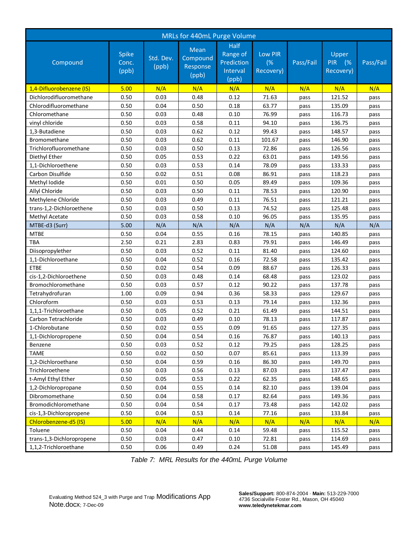| MRLs for 440mL Purge Volume |                                |                    |                                       |                                                     |                            |           |                                        |           |  |
|-----------------------------|--------------------------------|--------------------|---------------------------------------|-----------------------------------------------------|----------------------------|-----------|----------------------------------------|-----------|--|
| Compound                    | <b>Spike</b><br>Conc.<br>(ppb) | Std. Dev.<br>(ppb) | Mean<br>Compound<br>Response<br>(ppb) | Half<br>Range of<br>Prediction<br>Interval<br>(ppb) | Low PIR<br>(%<br>Recovery) | Pass/Fail | Upper<br><b>PIR</b><br>(%<br>Recovery) | Pass/Fail |  |
| 1,4-Difluorobenzene (IS)    | 5.00                           | N/A                | N/A                                   | N/A                                                 | N/A                        | N/A       | N/A                                    | N/A       |  |
| Dichlorodifluoromethane     | 0.50                           | 0.03               | 0.48                                  | 0.12                                                | 71.63                      | pass      | 121.52                                 | pass      |  |
| Chlorodifluoromethane       | 0.50                           | 0.04               | 0.50                                  | 0.18                                                | 63.77                      | pass      | 135.09                                 | pass      |  |
| Chloromethane               | 0.50                           | 0.03               | 0.48                                  | 0.10                                                | 76.99                      | pass      | 116.73                                 | pass      |  |
| vinyl chloride              | 0.50                           | 0.03               | 0.58                                  | 0.11                                                | 94.10                      | pass      | 136.75                                 | pass      |  |
| 1,3-Butadiene               | 0.50                           | 0.03               | 0.62                                  | 0.12                                                | 99.43                      | pass      | 148.57                                 | pass      |  |
| <b>Bromomethane</b>         | 0.50                           | 0.03               | 0.62                                  | 0.11                                                | 101.67                     | pass      | 146.90                                 | pass      |  |
| Trichlorofluoromethane      | 0.50                           | 0.03               | 0.50                                  | 0.13                                                | 72.86                      | pass      | 126.56                                 | pass      |  |
| Diethyl Ether               | 0.50                           | 0.05               | 0.53                                  | 0.22                                                | 63.01                      | pass      | 149.56                                 | pass      |  |
| 1,1-Dichloroethene          | 0.50                           | 0.03               | 0.53                                  | 0.14                                                | 78.09                      | pass      | 133.33                                 | pass      |  |
| Carbon Disulfide            | 0.50                           | 0.02               | 0.51                                  | 0.08                                                | 86.91                      | pass      | 118.23                                 | pass      |  |
| Methyl Iodide               | 0.50                           | 0.01               | 0.50                                  | 0.05                                                | 89.49                      | pass      | 109.36                                 | pass      |  |
| Allyl Chloride              | 0.50                           | 0.03               | 0.50                                  | 0.11                                                | 78.53                      | pass      | 120.90                                 | pass      |  |
| Methylene Chloride          | 0.50                           | 0.03               | 0.49                                  | 0.11                                                | 76.51                      | pass      | 121.21                                 | pass      |  |
| trans-1,2-Dichloroethene    | 0.50                           | 0.03               | 0.50                                  | 0.13                                                | 74.52                      | pass      | 125.48                                 | pass      |  |
| Methyl Acetate              | 0.50                           | 0.03               | 0.58                                  | 0.10                                                | 96.05                      | pass      | 135.95                                 | pass      |  |
| MTBE-d3 (Surr)              | 5.00                           | N/A                | N/A                                   | N/A                                                 | N/A                        | N/A       | N/A                                    | N/A       |  |
| <b>MTBE</b>                 | 0.50                           | 0.04               | 0.55                                  | 0.16                                                | 78.15                      | pass      | 140.85                                 | pass      |  |
| <b>TBA</b>                  | 2.50                           | 0.21               | 2.83                                  | 0.83                                                | 79.91                      | pass      | 146.49                                 | pass      |  |
| Diisopropylether            | 0.50                           | 0.03               | 0.52                                  | 0.11                                                | 81.40                      | pass      | 124.60                                 | pass      |  |
| 1,1-Dichloroethane          | 0.50                           | 0.04               | 0.52                                  | 0.16                                                | 72.58                      | pass      | 135.42                                 | pass      |  |
| <b>ETBE</b>                 | 0.50                           | 0.02               | 0.54                                  | 0.09                                                | 88.67                      | pass      | 126.33                                 | pass      |  |
| cis-1,2-Dichloroethene      | 0.50                           | 0.03               | 0.48                                  | 0.14                                                | 68.48                      | pass      | 123.02                                 | pass      |  |
| Bromochloromethane          | 0.50                           | 0.03               | 0.57                                  | 0.12                                                | 90.22                      | pass      | 137.78                                 | pass      |  |
| Tetrahydrofuran             | 1.00                           | 0.09               | 0.94                                  | 0.36                                                | 58.33                      | pass      | 129.67                                 | pass      |  |
| Chloroform                  | 0.50                           | 0.03               | 0.53                                  | 0.13                                                | 79.14                      | pass      | 132.36                                 | pass      |  |
| 1,1,1-Trichloroethane       | 0.50                           | 0.05               | 0.52                                  | 0.21                                                | 61.49                      | pass      | 144.51                                 | pass      |  |
| Carbon Tetrachloride        | 0.50                           | 0.03               | 0.49                                  | 0.10                                                | 78.13                      | pass      | 117.87                                 | pass      |  |
| 1-Chlorobutane              | 0.50                           | 0.02               | 0.55                                  | 0.09                                                | 91.65                      | pass      | 127.35                                 | pass      |  |
| 1,1-Dichloropropene         | 0.50                           | 0.04               | 0.54                                  | 0.16                                                | 76.87                      | pass      | 140.13                                 | pass      |  |
| Benzene                     | 0.50                           | 0.03               | 0.52                                  | 0.12                                                | 79.25                      | pass      | 128.25                                 | pass      |  |
| <b>TAME</b>                 | 0.50                           | 0.02               | 0.50                                  | 0.07                                                | 85.61                      | pass      | 113.39                                 | pass      |  |
| 1,2-Dichloroethane          | 0.50                           | 0.04               | 0.59                                  | 0.16                                                | 86.30                      | pass      | 149.70                                 | pass      |  |
| Trichloroethene             | 0.50                           | 0.03               | 0.56                                  | 0.13                                                | 87.03                      | pass      | 137.47                                 | pass      |  |
| t-Amyl Ethyl Ether          | 0.50                           | 0.05               | 0.53                                  | 0.22                                                | 62.35                      | pass      | 148.65                                 | pass      |  |
| 1,2-Dichloropropane         | 0.50                           | 0.04               | 0.55                                  | 0.14                                                | 82.10                      | pass      | 139.04                                 | pass      |  |
| Dibromomethane              | 0.50                           | 0.04               | 0.58                                  | 0.17                                                | 82.64                      | pass      | 149.36                                 | pass      |  |
| Bromodichloromethane        | 0.50                           | 0.04               | 0.54                                  | 0.17                                                | 73.48                      | pass      | 142.02                                 | pass      |  |
| cis-1,3-Dichloropropene     | 0.50                           | 0.04               | 0.53                                  | 0.14                                                | 77.16                      | pass      | 133.84                                 | pass      |  |
| Chlorobenzene-d5 (IS)       | 5.00                           | N/A                | N/A                                   | N/A                                                 | N/A                        | N/A       | N/A                                    | N/A       |  |
| Toluene                     | 0.50                           | 0.04               | 0.44                                  | 0.14                                                | 59.48                      | pass      | 115.52                                 | pass      |  |
| trans-1,3-Dichloropropene   | 0.50                           | 0.03               | 0.47                                  | 0.10                                                | 72.81                      | pass      | 114.69                                 | pass      |  |
| 1,1,2-Trichloroethane       | 0.50                           | 0.06               | 0.49                                  | 0.24                                                | 51.08                      | pass      | 145.49                                 | pass      |  |

*Table 7: MRL Results for the 440mL Purge Volume*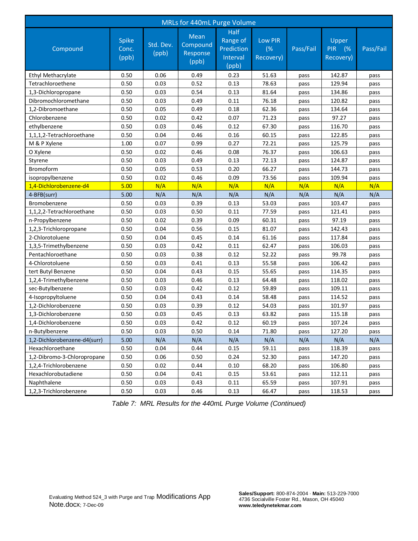| MRLs for 440mL Purge Volume  |                         |                    |                                       |                                                            |                                   |           |                                        |           |  |  |
|------------------------------|-------------------------|--------------------|---------------------------------------|------------------------------------------------------------|-----------------------------------|-----------|----------------------------------------|-----------|--|--|
| Compound                     | Spike<br>Conc.<br>(ppb) | Std. Dev.<br>(ppb) | Mean<br>Compound<br>Response<br>(ppb) | <b>Half</b><br>Range of<br>Prediction<br>Interval<br>(ppb) | <b>Low PIR</b><br>(%<br>Recovery) | Pass/Fail | Upper<br><b>PIR</b><br>(%<br>Recovery) | Pass/Fail |  |  |
| Ethyl Methacrylate           | 0.50                    | 0.06               | 0.49                                  | 0.23                                                       | 51.63                             | pass      | 142.87                                 | pass      |  |  |
| Tetrachloroethene            | 0.50                    | 0.03               | 0.52                                  | 0.13                                                       | 78.63                             | pass      | 129.94                                 | pass      |  |  |
| 1,3-Dichloropropane          | 0.50                    | 0.03               | 0.54                                  | 0.13                                                       | 81.64                             | pass      | 134.86                                 | pass      |  |  |
| Dibromochloromethane         | 0.50                    | 0.03               | 0.49                                  | 0.11                                                       | 76.18                             | pass      | 120.82                                 | pass      |  |  |
| 1,2-Dibromoethane            | 0.50                    | 0.05               | 0.49                                  | 0.18                                                       | 62.36                             | pass      | 134.64                                 | pass      |  |  |
| Chlorobenzene                | 0.50                    | 0.02               | 0.42                                  | 0.07                                                       | 71.23                             | pass      | 97.27                                  | pass      |  |  |
| ethylbenzene                 | 0.50                    | 0.03               | 0.46                                  | 0.12                                                       | 67.30                             | pass      | 116.70                                 | pass      |  |  |
| 1,1,1,2-Tetrachloroethane    | 0.50                    | 0.04               | 0.46                                  | 0.16                                                       | 60.15                             | pass      | 122.85                                 | pass      |  |  |
| M & P Xylene                 | 1.00                    | 0.07               | 0.99                                  | 0.27                                                       | 72.21                             | pass      | 125.79                                 | pass      |  |  |
| O Xylene                     | 0.50                    | 0.02               | 0.46                                  | 0.08                                                       | 76.37                             | pass      | 106.63                                 | pass      |  |  |
| Styrene                      | 0.50                    | 0.03               | 0.49                                  | 0.13                                                       | 72.13                             | pass      | 124.87                                 | pass      |  |  |
| Bromoform                    | 0.50                    | 0.05               | 0.53                                  | 0.20                                                       | 66.27                             | pass      | 144.73                                 | pass      |  |  |
| isopropylbenzene             | 0.50                    | 0.02               | 0.46                                  | 0.09                                                       | 73.56                             | pass      | 109.94                                 | pass      |  |  |
| 1,4-Dichlorobenzene-d4       | 5.00                    | N/A                | N/A                                   | N/A                                                        | N/A                               | N/A       | N/A                                    | N/A       |  |  |
| 4-BFB(surr)                  | 5.00                    | N/A                | N/A                                   | N/A                                                        | N/A                               | N/A       | N/A                                    | N/A       |  |  |
| Bromobenzene                 | 0.50                    | 0.03               | 0.39                                  | 0.13                                                       | 53.03                             | pass      | 103.47                                 | pass      |  |  |
| 1,1,2,2-Tetrachloroethane    | 0.50                    | 0.03               | 0.50                                  | 0.11                                                       | 77.59                             | pass      | 121.41                                 | pass      |  |  |
| n-Propylbenzene              | 0.50                    | 0.02               | 0.39                                  | 0.09                                                       | 60.31                             | pass      | 97.19                                  | pass      |  |  |
| 1,2,3-Trichloropropane       | 0.50                    | 0.04               | 0.56                                  | 0.15                                                       | 81.07                             | pass      | 142.43                                 | pass      |  |  |
| 2-Chlorotoluene              | 0.50                    | 0.04               | 0.45                                  | 0.14                                                       | 61.16                             | pass      | 117.84                                 | pass      |  |  |
| 1,3,5-Trimethylbenzene       | 0.50                    | 0.03               | 0.42                                  | 0.11                                                       | 62.47                             | pass      | 106.03                                 | pass      |  |  |
| Pentachloroethane            | 0.50                    | 0.03               | 0.38                                  | 0.12                                                       | 52.22                             | pass      | 99.78                                  | pass      |  |  |
| 4-Chlorotoluene              | 0.50                    | 0.03               | 0.41                                  | 0.13                                                       | 55.58                             | pass      | 106.42                                 | pass      |  |  |
| tert Butyl Benzene           | 0.50                    | 0.04               | 0.43                                  | 0.15                                                       | 55.65                             | pass      | 114.35                                 | pass      |  |  |
| 1,2,4-Trimethylbenzene       | 0.50                    | 0.03               | 0.46                                  | 0.13                                                       | 64.48                             | pass      | 118.02                                 | pass      |  |  |
| sec-Butylbenzene             | 0.50                    | 0.03               | 0.42                                  | 0.12                                                       | 59.89                             | pass      | 109.11                                 | pass      |  |  |
| 4-Isopropyltoluene           | 0.50                    | 0.04               | 0.43                                  | 0.14                                                       | 58.48                             | pass      | 114.52                                 | pass      |  |  |
| 1,2-Dichlorobenzene          | 0.50                    | 0.03               | 0.39                                  | 0.12                                                       | 54.03                             | pass      | 101.97                                 | pass      |  |  |
| 1,3-Dichlorobenzene          | 0.50                    | 0.03               | 0.45                                  | 0.13                                                       | 63.82                             | pass      | 115.18                                 | pass      |  |  |
| 1,4-Dichlorobenzene          | 0.50                    | 0.03               | 0.42                                  | 0.12                                                       | 60.19                             | pass      | 107.24                                 | pass      |  |  |
| n-Butylbenzene               | 0.50                    | 0.03               | 0.50                                  | 0.14                                                       | 71.80                             | pass      | 127.20                                 | pass      |  |  |
| 1,2-Dichlorobenzene-d4(surr) | 5.00                    | N/A                | N/A                                   | N/A                                                        | N/A                               | N/A       | N/A                                    | N/A       |  |  |
| Hexachloroethane             | 0.50                    | 0.04               | 0.44                                  | 0.15                                                       | 59.11                             | pass      | 118.39                                 | pass      |  |  |
| 1,2-Dibromo-3-Chloropropane  | 0.50                    | 0.06               | 0.50                                  | 0.24                                                       | 52.30                             | pass      | 147.20                                 | pass      |  |  |
| 1,2,4-Trichlorobenzene       | 0.50                    | 0.02               | 0.44                                  | 0.10                                                       | 68.20                             | pass      | 106.80                                 | pass      |  |  |
| Hexachlorobutadiene          | 0.50                    | 0.04               | 0.41                                  | 0.15                                                       | 53.61                             | pass      | 112.11                                 | pass      |  |  |
| Naphthalene                  | 0.50                    | 0.03               | 0.43                                  | 0.11                                                       | 65.59                             | pass      | 107.91                                 | pass      |  |  |
| 1,2,3-Trichlorobenzene       | 0.50                    | 0.03               | 0.46                                  | 0.13                                                       | 66.47                             | pass      | 118.53                                 | pass      |  |  |

*Table 7: MRL Results for the 440mL Purge Volume (Continued)*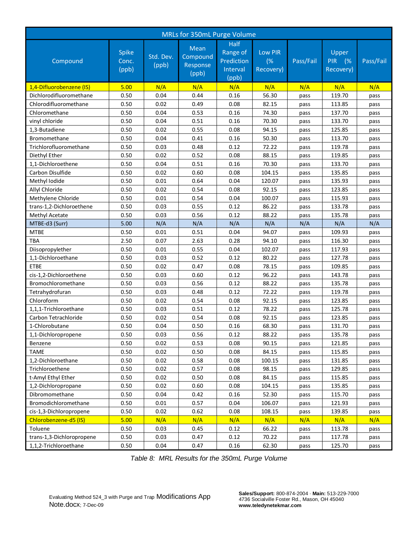| MRLs for 350mL Purge Volume |                                |                    |                                       |                                                            |                                   |           |                                        |           |  |
|-----------------------------|--------------------------------|--------------------|---------------------------------------|------------------------------------------------------------|-----------------------------------|-----------|----------------------------------------|-----------|--|
| Compound                    | <b>Spike</b><br>Conc.<br>(ppb) | Std. Dev.<br>(ppb) | Mean<br>Compound<br>Response<br>(ppb) | <b>Half</b><br>Range of<br>Prediction<br>Interval<br>(ppb) | <b>Low PIR</b><br>(%<br>Recovery) | Pass/Fail | Upper<br><b>PIR</b><br>(%<br>Recovery) | Pass/Fail |  |
| 1,4-Difluorobenzene (IS)    | 5.00                           | N/A                | N/A                                   | N/A                                                        | N/A                               | N/A       | N/A                                    | N/A       |  |
| Dichlorodifluoromethane     | 0.50                           | 0.04               | 0.44                                  | 0.16                                                       | 56.30                             | pass      | 119.70                                 | pass      |  |
| Chlorodifluoromethane       | 0.50                           | 0.02               | 0.49                                  | 0.08                                                       | 82.15                             | pass      | 113.85                                 | pass      |  |
| Chloromethane               | 0.50                           | 0.04               | 0.53                                  | 0.16                                                       | 74.30                             | pass      | 137.70                                 | pass      |  |
| vinyl chloride              | 0.50                           | 0.04               | 0.51                                  | 0.16                                                       | 70.30                             | pass      | 133.70                                 | pass      |  |
| 1,3-Butadiene               | 0.50                           | 0.02               | 0.55                                  | 0.08                                                       | 94.15                             | pass      | 125.85                                 | pass      |  |
| <b>Bromomethane</b>         | 0.50                           | 0.04               | 0.41                                  | 0.16                                                       | 50.30                             | pass      | 113.70                                 | pass      |  |
| Trichlorofluoromethane      | 0.50                           | 0.03               | 0.48                                  | 0.12                                                       | 72.22                             | pass      | 119.78                                 | pass      |  |
| Diethyl Ether               | 0.50                           | 0.02               | 0.52                                  | 0.08                                                       | 88.15                             | pass      | 119.85                                 | pass      |  |
| 1.1-Dichloroethene          | 0.50                           | 0.04               | 0.51                                  | 0.16                                                       | 70.30                             | pass      | 133.70                                 | pass      |  |
| Carbon Disulfide            | 0.50                           | 0.02               | 0.60                                  | 0.08                                                       | 104.15                            | pass      | 135.85                                 | pass      |  |
| Methyl Iodide               | 0.50                           | 0.01               | 0.64                                  | 0.04                                                       | 120.07                            | pass      | 135.93                                 | pass      |  |
| Allyl Chloride              | 0.50                           | 0.02               | 0.54                                  | 0.08                                                       | 92.15                             | pass      | 123.85                                 | pass      |  |
| Methylene Chloride          | 0.50                           | 0.01               | 0.54                                  | 0.04                                                       | 100.07                            | pass      | 115.93                                 | pass      |  |
| trans-1.2-Dichloroethene    | 0.50                           | 0.03               | 0.55                                  | 0.12                                                       | 86.22                             | pass      | 133.78                                 | pass      |  |
| Methyl Acetate              | 0.50                           | 0.03               | 0.56                                  | 0.12                                                       | 88.22                             | pass      | 135.78                                 | pass      |  |
| MTBE-d3 (Surr)              | 5.00                           | N/A                | N/A                                   | N/A                                                        | N/A                               | N/A       | N/A                                    | N/A       |  |
| <b>MTBE</b>                 | 0.50                           | 0.01               | 0.51                                  | 0.04                                                       | 94.07                             | pass      | 109.93                                 | pass      |  |
| <b>TBA</b>                  | 2.50                           | 0.07               | 2.63                                  | 0.28                                                       | 94.10                             | pass      | 116.30                                 | pass      |  |
| Diisopropylether            | 0.50                           | 0.01               | 0.55                                  | 0.04                                                       | 102.07                            | pass      | 117.93                                 | pass      |  |
| 1,1-Dichloroethane          | 0.50                           | 0.03               | 0.52                                  | 0.12                                                       | 80.22                             | pass      | 127.78                                 | pass      |  |
| <b>ETBE</b>                 | 0.50                           | 0.02               | 0.47                                  | 0.08                                                       | 78.15                             | pass      | 109.85                                 | pass      |  |
| cis-1,2-Dichloroethene      | 0.50                           | 0.03               | 0.60                                  | 0.12                                                       | 96.22                             | pass      | 143.78                                 | pass      |  |
| Bromochloromethane          | 0.50                           | 0.03               | 0.56                                  | 0.12                                                       | 88.22                             | pass      | 135.78                                 | pass      |  |
| Tetrahydrofuran             | 0.50                           | 0.03               | 0.48                                  | 0.12                                                       | 72.22                             | pass      | 119.78                                 | pass      |  |
| Chloroform                  | 0.50                           | 0.02               | 0.54                                  | 0.08                                                       | 92.15                             | pass      | 123.85                                 | pass      |  |
| 1,1,1-Trichloroethane       | 0.50                           | 0.03               | 0.51                                  | 0.12                                                       | 78.22                             | pass      | 125.78                                 | pass      |  |
| Carbon Tetrachloride        | 0.50                           | 0.02               | 0.54                                  | 0.08                                                       | 92.15                             | pass      | 123.85                                 | pass      |  |
| 1-Chlorobutane              | 0.50                           | 0.04               | 0.50                                  | 0.16                                                       | 68.30                             | pass      | 131.70                                 | pass      |  |
| 1,1-Dichloropropene         | 0.50                           | 0.03               | 0.56                                  | 0.12                                                       | 88.22                             | pass      | 135.78                                 | pass      |  |
| Benzene                     | 0.50                           | 0.02               | 0.53                                  | 0.08                                                       | 90.15                             | pass      | 121.85                                 | pass      |  |
| <b>TAME</b>                 | 0.50                           | 0.02               | 0.50                                  | 0.08                                                       | 84.15                             | pass      | 115.85                                 | pass      |  |
| 1,2-Dichloroethane          | 0.50                           | 0.02               | 0.58                                  | 0.08                                                       | 100.15                            | pass      | 131.85                                 | pass      |  |
| Trichloroethene             | 0.50                           | 0.02               | 0.57                                  | 0.08                                                       | 98.15                             | pass      | 129.85                                 | pass      |  |
| t-Amyl Ethyl Ether          | 0.50                           | 0.02               | 0.50                                  | 0.08                                                       | 84.15                             | pass      | 115.85                                 | pass      |  |
| 1,2-Dichloropropane         | 0.50                           | 0.02               | 0.60                                  | 0.08                                                       | 104.15                            | pass      | 135.85                                 | pass      |  |
| Dibromomethane              | 0.50                           | 0.04               | 0.42                                  | 0.16                                                       | 52.30                             | pass      | 115.70                                 | pass      |  |
| Bromodichloromethane        | 0.50                           | 0.01               | 0.57                                  | 0.04                                                       | 106.07                            | pass      | 121.93                                 | pass      |  |
| cis-1,3-Dichloropropene     | 0.50                           | 0.02               | 0.62                                  | 0.08                                                       | 108.15                            | pass      | 139.85                                 | pass      |  |
| Chlorobenzene-d5 (IS)       | 5.00                           | N/A                | N/A                                   | N/A                                                        | N/A                               | N/A       | N/A                                    | N/A       |  |
| Toluene                     | 0.50                           | 0.03               | 0.45                                  | 0.12                                                       | 66.22                             | pass      | 113.78                                 | pass      |  |
| trans-1,3-Dichloropropene   | 0.50                           | 0.03               | 0.47                                  | 0.12                                                       | 70.22                             | pass      | 117.78                                 | pass      |  |
| 1,1,2-Trichloroethane       | 0.50                           | 0.04               | 0.47                                  | 0.16                                                       | 62.30                             | pass      | 125.70                                 | pass      |  |

*Table 8: MRL Results for the 350mL Purge Volume*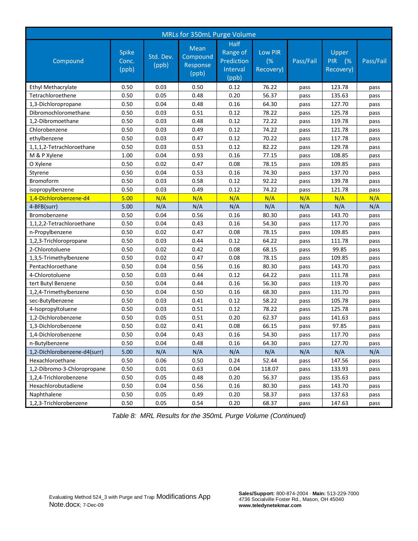| MRLs for 350mL Purge Volume  |                                |                    |                                              |                                                     |                            |           |                                        |           |  |
|------------------------------|--------------------------------|--------------------|----------------------------------------------|-----------------------------------------------------|----------------------------|-----------|----------------------------------------|-----------|--|
| Compound                     | <b>Spike</b><br>Conc.<br>(ppb) | Std. Dev.<br>(ppb) | <b>Mean</b><br>Compound<br>Response<br>(ppb) | Half<br>Range of<br>Prediction<br>Interval<br>(ppb) | Low PIR<br>(%<br>Recovery) | Pass/Fail | Upper<br><b>PIR</b><br>(%<br>Recovery) | Pass/Fail |  |
| Ethyl Methacrylate           | 0.50                           | 0.03               | 0.50                                         | 0.12                                                | 76.22                      | pass      | 123.78                                 | pass      |  |
| Tetrachloroethene            | 0.50                           | 0.05               | 0.48                                         | 0.20                                                | 56.37                      | pass      | 135.63                                 | pass      |  |
| 1,3-Dichloropropane          | 0.50                           | 0.04               | 0.48                                         | 0.16                                                | 64.30                      | pass      | 127.70                                 | pass      |  |
| Dibromochloromethane         | 0.50                           | 0.03               | 0.51                                         | 0.12                                                | 78.22                      | pass      | 125.78                                 | pass      |  |
| 1,2-Dibromoethane            | 0.50                           | 0.03               | 0.48                                         | 0.12                                                | 72.22                      | pass      | 119.78                                 | pass      |  |
| Chlorobenzene                | 0.50                           | 0.03               | 0.49                                         | 0.12                                                | 74.22                      | pass      | 121.78                                 | pass      |  |
| ethylbenzene                 | 0.50                           | 0.03               | 0.47                                         | 0.12                                                | 70.22                      | pass      | 117.78                                 | pass      |  |
| 1,1,1,2-Tetrachloroethane    | 0.50                           | 0.03               | 0.53                                         | 0.12                                                | 82.22                      | pass      | 129.78                                 | pass      |  |
| M & P Xylene                 | 1.00                           | 0.04               | 0.93                                         | 0.16                                                | 77.15                      | pass      | 108.85                                 | pass      |  |
| O Xylene                     | 0.50                           | 0.02               | 0.47                                         | 0.08                                                | 78.15                      | pass      | 109.85                                 | pass      |  |
| Styrene                      | 0.50                           | 0.04               | 0.53                                         | 0.16                                                | 74.30                      | pass      | 137.70                                 | pass      |  |
| Bromoform                    | 0.50                           | 0.03               | 0.58                                         | 0.12                                                | 92.22                      | pass      | 139.78                                 | pass      |  |
| isopropylbenzene             | 0.50                           | 0.03               | 0.49                                         | 0.12                                                | 74.22                      | pass      | 121.78                                 | pass      |  |
| 1,4-Dichlorobenzene-d4       | 5.00                           | N/A                | N/A                                          | N/A                                                 | N/A                        | N/A       | N/A                                    | N/A       |  |
| 4-BFB(surr)                  | 5.00                           | N/A                | N/A                                          | N/A                                                 | N/A                        | N/A       | N/A                                    | N/A       |  |
| Bromobenzene                 | 0.50                           | 0.04               | 0.56                                         | 0.16                                                | 80.30                      | pass      | 143.70                                 | pass      |  |
| 1,1,2,2-Tetrachloroethane    | 0.50                           | 0.04               | 0.43                                         | 0.16                                                | 54.30                      | pass      | 117.70                                 | pass      |  |
| n-Propylbenzene              | 0.50                           | 0.02               | 0.47                                         | 0.08                                                | 78.15                      | pass      | 109.85                                 | pass      |  |
| 1,2,3-Trichloropropane       | 0.50                           | 0.03               | 0.44                                         | 0.12                                                | 64.22                      | pass      | 111.78                                 | pass      |  |
| 2-Chlorotoluene              | 0.50                           | 0.02               | 0.42                                         | 0.08                                                | 68.15                      | pass      | 99.85                                  | pass      |  |
| 1,3,5-Trimethylbenzene       | 0.50                           | 0.02               | 0.47                                         | 0.08                                                | 78.15                      | pass      | 109.85                                 | pass      |  |
| Pentachloroethane            | 0.50                           | 0.04               | 0.56                                         | 0.16                                                | 80.30                      | pass      | 143.70                                 | pass      |  |
| 4-Chlorotoluene              | 0.50                           | 0.03               | 0.44                                         | 0.12                                                | 64.22                      | pass      | 111.78                                 | pass      |  |
| tert Butyl Benzene           | 0.50                           | 0.04               | 0.44                                         | 0.16                                                | 56.30                      | pass      | 119.70                                 | pass      |  |
| 1,2,4-Trimethylbenzene       | 0.50                           | 0.04               | 0.50                                         | 0.16                                                | 68.30                      | pass      | 131.70                                 | pass      |  |
| sec-Butylbenzene             | 0.50                           | 0.03               | 0.41                                         | 0.12                                                | 58.22                      | pass      | 105.78                                 | pass      |  |
| 4-Isopropyltoluene           | 0.50                           | 0.03               | 0.51                                         | 0.12                                                | 78.22                      | pass      | 125.78                                 | pass      |  |
| 1,2-Dichlorobenzene          | 0.50                           | 0.05               | 0.51                                         | 0.20                                                | 62.37                      | pass      | 141.63                                 | pass      |  |
| 1,3-Dichlorobenzene          | 0.50                           | 0.02               | 0.41                                         | 0.08                                                | 66.15                      | pass      | 97.85                                  | pass      |  |
| 1,4-Dichlorobenzene          | 0.50                           | 0.04               | 0.43                                         | 0.16                                                | 54.30                      | pass      | 117.70                                 | pass      |  |
| n-Butylbenzene               | 0.50                           | 0.04               | 0.48                                         | 0.16                                                | 64.30                      | pass      | 127.70                                 | pass      |  |
| 1,2-Dichlorobenzene-d4(surr) | 5.00                           | N/A                | N/A                                          | N/A                                                 | N/A                        | N/A       | N/A                                    | N/A       |  |
| Hexachloroethane             | 0.50                           | 0.06               | 0.50                                         | 0.24                                                | 52.44                      | pass      | 147.56                                 | pass      |  |
| 1,2-Dibromo-3-Chloropropane  | 0.50                           | 0.01               | 0.63                                         | 0.04                                                | 118.07                     | pass      | 133.93                                 | pass      |  |
| 1,2,4-Trichlorobenzene       | 0.50                           | 0.05               | 0.48                                         | 0.20                                                | 56.37                      | pass      | 135.63                                 | pass      |  |
| Hexachlorobutadiene          | 0.50                           | 0.04               | 0.56                                         | 0.16                                                | 80.30                      | pass      | 143.70                                 | pass      |  |
| Naphthalene                  | 0.50                           | 0.05               | 0.49                                         | 0.20                                                | 58.37                      | pass      | 137.63                                 | pass      |  |
| 1,2,3-Trichlorobenzene       | 0.50                           | 0.05               | 0.54                                         | 0.20                                                | 68.37                      | pass      | 147.63                                 | pass      |  |

*Table 8: MRL Results for the 350mL Purge Volume (Continued)*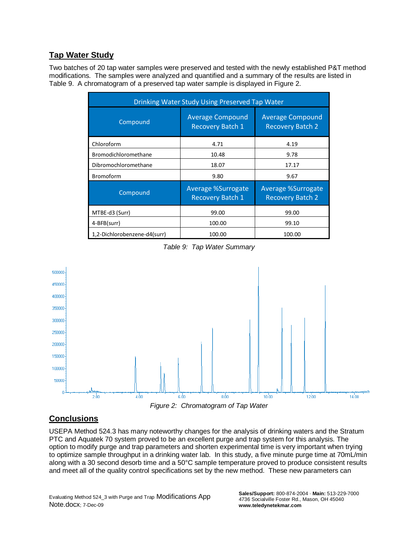### **Tap Water Study**

Two batches of 20 tap water samples were preserved and tested with the newly established P&T method modifications. The samples were analyzed and quantified and a summary of the results are listed in Table 9. A chromatogram of a preserved tap water sample is displayed in Figure 2.

| <b>Drinking Water Study Using Preserved Tap Water</b> |                                                      |                                                      |  |  |  |  |  |
|-------------------------------------------------------|------------------------------------------------------|------------------------------------------------------|--|--|--|--|--|
| Compound                                              | <b>Average Compound</b><br><b>Recovery Batch 1</b>   | <b>Average Compound</b><br><b>Recovery Batch 2</b>   |  |  |  |  |  |
| Chloroform                                            | 4.71                                                 | 4.19                                                 |  |  |  |  |  |
| Bromodichloromethane                                  | 10.48                                                | 9.78                                                 |  |  |  |  |  |
| Dibromochloromethane                                  | 18.07                                                | 17.17                                                |  |  |  |  |  |
| <b>Bromoform</b>                                      | 9.80                                                 | 9.67                                                 |  |  |  |  |  |
| Compound                                              | <b>Average %Surrogate</b><br><b>Recovery Batch 1</b> | <b>Average %Surrogate</b><br><b>Recovery Batch 2</b> |  |  |  |  |  |
| MTBE-d3 (Surr)                                        | 99.00                                                | 99.00                                                |  |  |  |  |  |
| 4-BFB(surr)                                           | 100.00                                               | 99.10                                                |  |  |  |  |  |
| 1,2-Dichlorobenzene-d4(surr)                          | 100.00                                               | 100.00                                               |  |  |  |  |  |

*Table 9: Tap Water Summary*



### **Conclusions**

USEPA Method 524.3 has many noteworthy changes for the analysis of drinking waters and the Stratum PTC and Aquatek 70 system proved to be an excellent purge and trap system for this analysis. The option to modify purge and trap parameters and shorten experimental time is very important when trying to optimize sample throughput in a drinking water lab. In this study, a five minute purge time at 70mL/min along with a 30 second desorb time and a 50°C sample temperature proved to produce consistent results and meet all of the quality control specifications set by the new method. These new parameters can

Evaluating Method 524\_3 with Purge and Trap Modifications App Note.docx; 7-Dec-09

**Sales/Support:** 800-874-2004 · **Main:** 513-229-7000 4736 Socialville Foster Rd., Mason, OH 45040 **www.teledynetekmar.com**